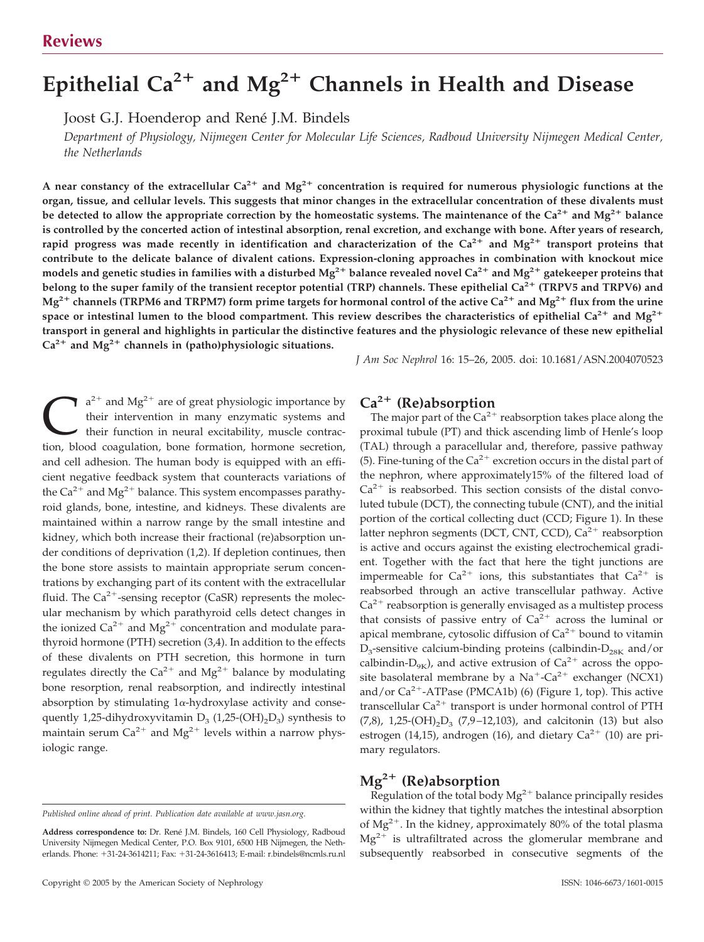# Epithelial Ca<sup>2+</sup> and Mg<sup>2+</sup> Channels in Health and Disease

Joost G.J. Hoenderop and René J.M. Bindels

*Department of Physiology, Nijmegen Center for Molecular Life Sciences, Radboud University Nijmegen Medical Center, the Netherlands*

A near constancy of the extracellular Ca<sup>2+</sup> and Mg<sup>2+</sup> concentration is required for numerous physiologic functions at the **organ, tissue, and cellular levels. This suggests that minor changes in the extracellular concentration of these divalents must** be detected to allow the appropriate correction by the homeostatic systems. The maintenance of the  $Ca^{2+}$  and  $Mg^{2+}$  balance **is controlled by the concerted action of intestinal absorption, renal excretion, and exchange with bone. After years of research,** rapid progress was made recently in identification and characterization of the  $Ca^{2+}$  and  $Mg^{2+}$  transport proteins that **contribute to the delicate balance of divalent cations. Expression-cloning approaches in combination with knockout mice models and genetic studies in families with a disturbed Mg2 balance revealed novel Ca2 and Mg2 gatekeeper proteins that** belong to the super family of the transient receptor potential (TRP) channels. These epithelial Ca<sup>2+</sup> (TRPV5 and TRPV6) and  $Mg^{2+}$  channels (TRPM6 and TRPM7) form prime targets for hormonal control of the active  $Ca^{2+}$  and  $Mg^{2+}$  flux from the urine space or intestinal lumen to the blood compartment. This review describes the characteristics of epithelial  $Ca^{2+}$  and  $Mg^{2+}$ **transport in general and highlights in particular the distinctive features and the physiologic relevance of these new epithelial**  $Ca^{2+}$  and Mg<sup>2+</sup> channels in (patho)physiologic situations.

*J Am Soc Nephrol* 16: 15–26, 2005. doi: 10.1681/ASN.2004070523

 $a^{2+}$  and Mg<sup>2+</sup> are of great physiologic importance by their intervention in many enzymatic systems and their function in neural excitability, muscle contraction, blood coagulation, bone formation, hormone secretion, and cell adhesion. The human body is equipped with an efficient negative feedback system that counteracts variations of the  $Ca^{2+}$  and  $Mg^{2+}$  balance. This system encompasses parathyroid glands, bone, intestine, and kidneys. These divalents are maintained within a narrow range by the small intestine and kidney, which both increase their fractional (re)absorption under conditions of deprivation (1,2). If depletion continues, then the bone store assists to maintain appropriate serum concentrations by exchanging part of its content with the extracellular fluid. The  $Ca^{2+}$ -sensing receptor (CaSR) represents the molecular mechanism by which parathyroid cells detect changes in the ionized  $Ca^{2+}$  and  $Mg^{2+}$  concentration and modulate parathyroid hormone (PTH) secretion (3,4). In addition to the effects of these divalents on PTH secretion, this hormone in turn regulates directly the  $Ca^{2+}$  and  $Mg^{2+}$  balance by modulating bone resorption, renal reabsorption, and indirectly intestinal absorption by stimulating  $1\alpha$ -hydroxylase activity and consequently 1,25-dihydroxyvitamin  $D_3$  (1,25-(OH)<sub>2</sub>D<sub>3</sub>) synthesis to maintain serum  $Ca^{2+}$  and  $Mg^{2+}$  levels within a narrow physiologic range.

### **Ca2 (Re)absorption**

The major part of the  $Ca^{2+}$  reabsorption takes place along the proximal tubule (PT) and thick ascending limb of Henle's loop (TAL) through a paracellular and, therefore, passive pathway (5). Fine-tuning of the  $Ca^{2+}$  excretion occurs in the distal part of the nephron, where approximately15% of the filtered load of  $Ca<sup>2+</sup>$  is reabsorbed. This section consists of the distal convoluted tubule (DCT), the connecting tubule (CNT), and the initial portion of the cortical collecting duct (CCD; Figure 1). In these latter nephron segments (DCT, CNT, CCD),  $Ca^{2+}$  reabsorption is active and occurs against the existing electrochemical gradient. Together with the fact that here the tight junctions are impermeable for  $Ca^{2+}$  ions, this substantiates that  $Ca^{2+}$  is reabsorbed through an active transcellular pathway. Active  $Ca<sup>2+</sup>$  reabsorption is generally envisaged as a multistep process that consists of passive entry of  $Ca^{2+}$  across the luminal or apical membrane, cytosolic diffusion of  $Ca^{2+}$  bound to vitamin  $D_3$ -sensitive calcium-binding proteins (calbindin- $D_{28K}$  and/or calbindin- $D_{9K}$ ), and active extrusion of  $Ca^{2+}$  across the opposite basolateral membrane by a  $Na^+$ -Ca<sup>2+</sup> exchanger (NCX1) and/or  $Ca^{2+}$ -ATPase (PMCA1b) (6) (Figure 1, top). This active transcellular  $Ca^{2+}$  transport is under hormonal control of PTH  $(7,8)$ , 1,25- $(OH)_{2}D_{3}$  (7,9-12,103), and calcitonin (13) but also estrogen (14,15), androgen (16), and dietary  $Ca^{2+}$  (10) are primary regulators.

# **Mg2 (Re)absorption**

Regulation of the total body  $Mg^{2+}$  balance principally resides within the kidney that tightly matches the intestinal absorption of  $Mg^{2+}$ . In the kidney, approximately 80% of the total plasma  $Mg^{2+}$  is ultrafiltrated across the glomerular membrane and subsequently reabsorbed in consecutive segments of the

*Published online ahead of print. Publication date available at www.jasn.org.*

Address correspondence to: Dr. René J.M. Bindels, 160 Cell Physiology, Radboud University Nijmegen Medical Center, P.O. Box 9101, 6500 HB Nijmegen, the Netherlands. Phone: +31-24-3614211; Fax: +31-24-3616413; E-mail: r.bindels@ncmls.ru.nl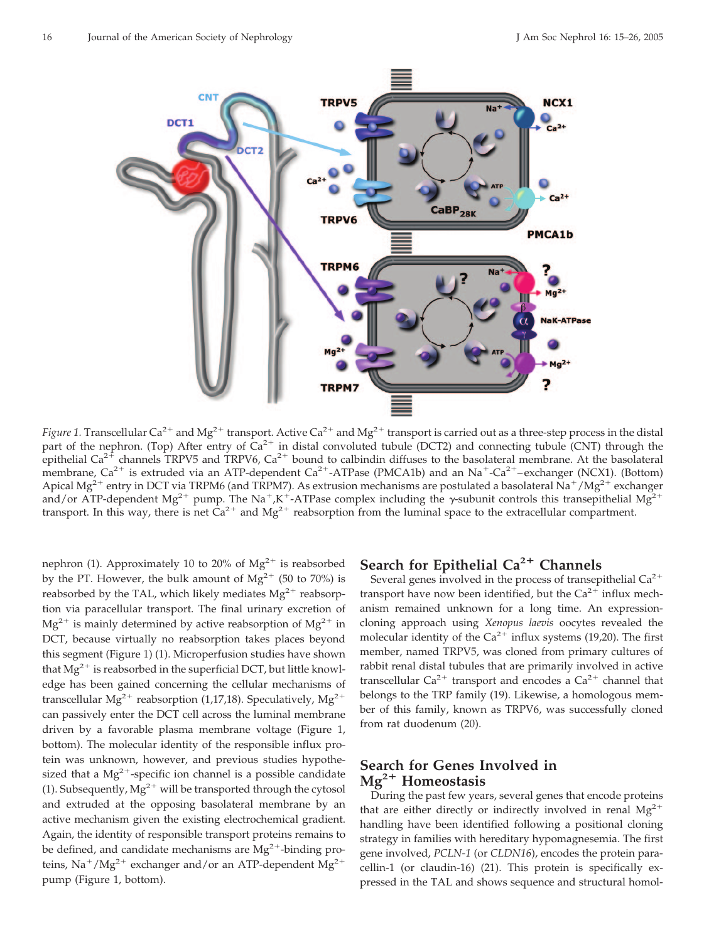

*Figure 1.* Transcellular Ca<sup>2+</sup> and Mg<sup>2+</sup> transport. Active Ca<sup>2+</sup> and Mg<sup>2+</sup> transport is carried out as a three-step process in the distal part of the nephron. (Top) After entry of  $Ca^{2+}$  in distal convoluted tubule (DCT2) and connecting tubule (CNT) through the epithelial Ca<sup>2+</sup> channels TRPV5 and TRPV6, Ca<sup>2+</sup> bound to calbindin diffuses to the basolateral membrane. At the basolateral membrane,  $Ca^{2+}$  is extruded via an ATP-dependent  $Ca^{2+}-ATP$ ase (PMCA1b) and an Na<sup>+</sup>-Ca<sup>2+</sup>-exchanger (NCX1). (Bottom) Apical Mg<sup>2+</sup> entry in DCT via TRPM6 (and TRPM7). As extrusion mechanisms are postulated a basolateral Na<sup>+</sup>/Mg<sup>2+</sup> exchanger and/or ATP-dependent Mg<sup>2+</sup> pump. The Na<sup>+</sup>,K<sup>+</sup>-ATPase complex including the  $\gamma$ -subunit controls this transepithelial Mg<sup>2+</sup> transport. In this way, there is net  $Ca^{2+}$  and  $Mg^{2+}$  reabsorption from the luminal space to the extracellular compartment.

nephron (1). Approximately 10 to 20% of  $Mg^{2+}$  is reabsorbed by the PT. However, the bulk amount of  $Mg^{2+}$  (50 to 70%) is reabsorbed by the TAL, which likely mediates  $Mg^{2+}$  reabsorption via paracellular transport. The final urinary excretion of  $Mg^{2+}$  is mainly determined by active reabsorption of  $Mg^{2+}$  in DCT, because virtually no reabsorption takes places beyond this segment (Figure 1) (1). Microperfusion studies have shown that  $Mg^{2+}$  is reabsorbed in the superficial DCT, but little knowledge has been gained concerning the cellular mechanisms of transcellular Mg<sup>2+</sup> reabsorption (1,17,18). Speculatively, Mg<sup>2+</sup> can passively enter the DCT cell across the luminal membrane driven by a favorable plasma membrane voltage (Figure 1, bottom). The molecular identity of the responsible influx protein was unknown, however, and previous studies hypothesized that a  $Mg^{2+}$ -specific ion channel is a possible candidate (1). Subsequently,  $Mg^{2+}$  will be transported through the cytosol and extruded at the opposing basolateral membrane by an active mechanism given the existing electrochemical gradient. Again, the identity of responsible transport proteins remains to be defined, and candidate mechanisms are  $Mg^{2+}$ -binding proteins,  $\text{Na}^+/\text{Mg}^{2+}$  exchanger and/or an ATP-dependent  $\text{Mg}^{2+}$ pump (Figure 1, bottom).

# **Search for Epithelial Ca2 Channels**

Several genes involved in the process of transepithelial  $Ca^{2+}$ transport have now been identified, but the  $Ca^{2+}$  influx mechanism remained unknown for a long time. An expressioncloning approach using *Xenopus laevis* oocytes revealed the molecular identity of the  $Ca^{2+}$  influx systems (19,20). The first member, named TRPV5, was cloned from primary cultures of rabbit renal distal tubules that are primarily involved in active transcellular  $Ca^{2+}$  transport and encodes a  $Ca^{2+}$  channel that belongs to the TRP family (19). Likewise, a homologous member of this family, known as TRPV6, was successfully cloned from rat duodenum (20).

## **Search for Genes Involved in** Mg<sup>2+</sup> Homeostasis

During the past few years, several genes that encode proteins that are either directly or indirectly involved in renal  $Mg^{2+}$ handling have been identified following a positional cloning strategy in families with hereditary hypomagnesemia. The first gene involved, *PCLN-1* (or *CLDN16*), encodes the protein paracellin-1 (or claudin-16) (21). This protein is specifically expressed in the TAL and shows sequence and structural homol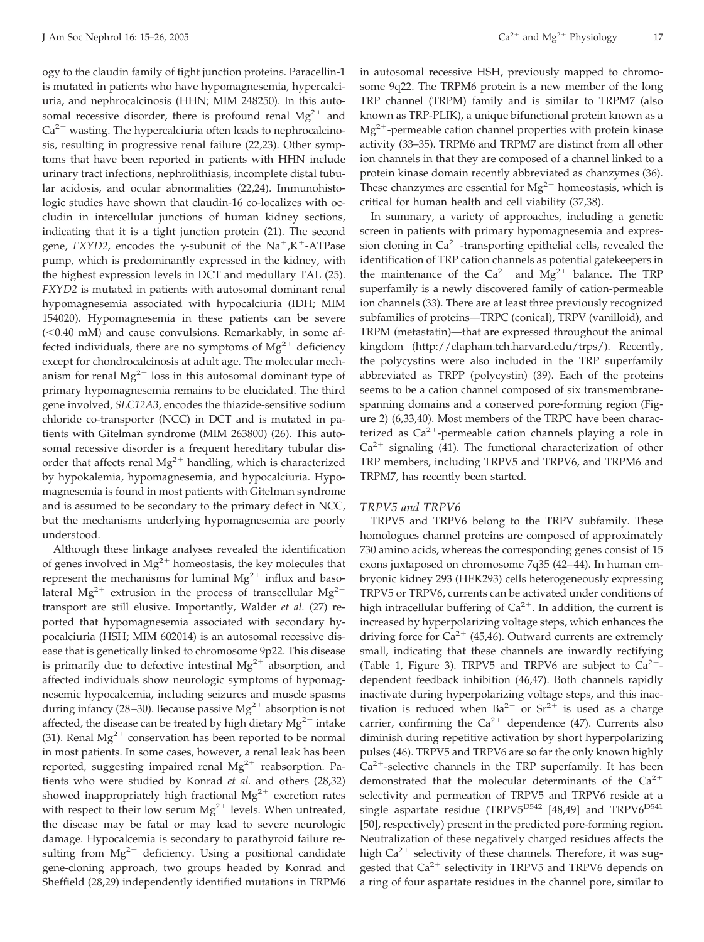ogy to the claudin family of tight junction proteins. Paracellin-1 is mutated in patients who have hypomagnesemia, hypercalciuria, and nephrocalcinosis (HHN; MIM 248250). In this autosomal recessive disorder, there is profound renal  $Mg^{2+}$  and  $Ca<sup>2+</sup>$  wasting. The hypercalciuria often leads to nephrocalcinosis, resulting in progressive renal failure (22,23). Other symptoms that have been reported in patients with HHN include urinary tract infections, nephrolithiasis, incomplete distal tubular acidosis, and ocular abnormalities (22,24). Immunohistologic studies have shown that claudin-16 co-localizes with occludin in intercellular junctions of human kidney sections, indicating that it is a tight junction protein (21). The second gene,  $FXYD2$ , encodes the  $\gamma$ -subunit of the Na<sup>+</sup>,K<sup>+</sup>-ATPase pump, which is predominantly expressed in the kidney, with the highest expression levels in DCT and medullary TAL (25). *FXYD2* is mutated in patients with autosomal dominant renal hypomagnesemia associated with hypocalciuria (IDH; MIM 154020). Hypomagnesemia in these patients can be severe (<0.40 mM) and cause convulsions. Remarkably, in some affected individuals, there are no symptoms of  $Mg^{2+}$  deficiency except for chondrocalcinosis at adult age. The molecular mechanism for renal  $Mg^{2+}$  loss in this autosomal dominant type of primary hypomagnesemia remains to be elucidated. The third gene involved, *SLC12A3*, encodes the thiazide-sensitive sodium chloride co-transporter (NCC) in DCT and is mutated in patients with Gitelman syndrome (MIM 263800) (26). This autosomal recessive disorder is a frequent hereditary tubular disorder that affects renal  $Mg^{2+}$  handling, which is characterized by hypokalemia, hypomagnesemia, and hypocalciuria. Hypomagnesemia is found in most patients with Gitelman syndrome and is assumed to be secondary to the primary defect in NCC, but the mechanisms underlying hypomagnesemia are poorly understood.

Although these linkage analyses revealed the identification of genes involved in  $Mg^{2+}$  homeostasis, the key molecules that represent the mechanisms for luminal  $Mg^{2+}$  influx and basolateral Mg<sup>2+</sup> extrusion in the process of transcellular Mg<sup>2+</sup> transport are still elusive. Importantly, Walder *et al.* (27) reported that hypomagnesemia associated with secondary hypocalciuria (HSH; MIM 602014) is an autosomal recessive disease that is genetically linked to chromosome 9p22. This disease is primarily due to defective intestinal  $Mg^{2+}$  absorption, and affected individuals show neurologic symptoms of hypomagnesemic hypocalcemia, including seizures and muscle spasms during infancy (28–30). Because passive  $Mg^{2+}$  absorption is not affected, the disease can be treated by high dietary  $Mg^{2+}$  intake (31). Renal  $Mg^{2+}$  conservation has been reported to be normal in most patients. In some cases, however, a renal leak has been reported, suggesting impaired renal  $Mg^{2+}$  reabsorption. Patients who were studied by Konrad *et al.* and others (28,32) showed inappropriately high fractional  $Mg^{2+}$  excretion rates with respect to their low serum  $Mg^{2+}$  levels. When untreated, the disease may be fatal or may lead to severe neurologic damage. Hypocalcemia is secondary to parathyroid failure resulting from  $Mg^{2+}$  deficiency. Using a positional candidate gene-cloning approach, two groups headed by Konrad and Sheffield (28,29) independently identified mutations in TRPM6 in autosomal recessive HSH, previously mapped to chromosome 9q22. The TRPM6 protein is a new member of the long TRP channel (TRPM) family and is similar to TRPM7 (also known as TRP-PLIK), a unique bifunctional protein known as a  $Mg^{2+}$ -permeable cation channel properties with protein kinase activity (33–35). TRPM6 and TRPM7 are distinct from all other ion channels in that they are composed of a channel linked to a protein kinase domain recently abbreviated as chanzymes (36). These chanzymes are essential for  $Mg^{2+}$  homeostasis, which is critical for human health and cell viability (37,38).

In summary, a variety of approaches, including a genetic screen in patients with primary hypomagnesemia and expression cloning in  $Ca^{2+}$ -transporting epithelial cells, revealed the identification of TRP cation channels as potential gatekeepers in the maintenance of the  $Ca^{2+}$  and  $Mg^{2+}$  balance. The TRP superfamily is a newly discovered family of cation-permeable ion channels (33). There are at least three previously recognized subfamilies of proteins—TRPC (conical), TRPV (vanilloid), and TRPM (metastatin)—that are expressed throughout the animal kingdom (http://clapham.tch.harvard.edu/trps/). Recently, the polycystins were also included in the TRP superfamily abbreviated as TRPP (polycystin) (39). Each of the proteins seems to be a cation channel composed of six transmembranespanning domains and a conserved pore-forming region (Figure 2) (6,33,40). Most members of the TRPC have been characterized as  $Ca^{2+}$ -permeable cation channels playing a role in  $Ca<sup>2+</sup>$  signaling (41). The functional characterization of other TRP members, including TRPV5 and TRPV6, and TRPM6 and TRPM7, has recently been started.

#### *TRPV5 and TRPV6*

TRPV5 and TRPV6 belong to the TRPV subfamily. These homologues channel proteins are composed of approximately 730 amino acids, whereas the corresponding genes consist of 15 exons juxtaposed on chromosome 7q35 (42-44). In human embryonic kidney 293 (HEK293) cells heterogeneously expressing TRPV5 or TRPV6, currents can be activated under conditions of high intracellular buffering of  $Ca^{2+}$ . In addition, the current is increased by hyperpolarizing voltage steps, which enhances the driving force for  $Ca^{2+}$  (45,46). Outward currents are extremely small, indicating that these channels are inwardly rectifying (Table 1, Figure 3). TRPV5 and TRPV6 are subject to  $Ca^{2+}$ dependent feedback inhibition (46,47). Both channels rapidly inactivate during hyperpolarizing voltage steps, and this inactivation is reduced when  $Ba^{2+}$  or  $Sr^{2+}$  is used as a charge carrier, confirming the  $Ca^{2+}$  dependence (47). Currents also diminish during repetitive activation by short hyperpolarizing pulses (46). TRPV5 and TRPV6 are so far the only known highly  $Ca<sup>2+</sup>$ -selective channels in the TRP superfamily. It has been demonstrated that the molecular determinants of the  $Ca^{2+}$ selectivity and permeation of TRPV5 and TRPV6 reside at a single aspartate residue (TRPV5 $D542$  [48,49] and TRPV6 $D541$ [50], respectively) present in the predicted pore-forming region. Neutralization of these negatively charged residues affects the high  $Ca^{2+}$  selectivity of these channels. Therefore, it was suggested that  $Ca^{2+}$  selectivity in TRPV5 and TRPV6 depends on a ring of four aspartate residues in the channel pore, similar to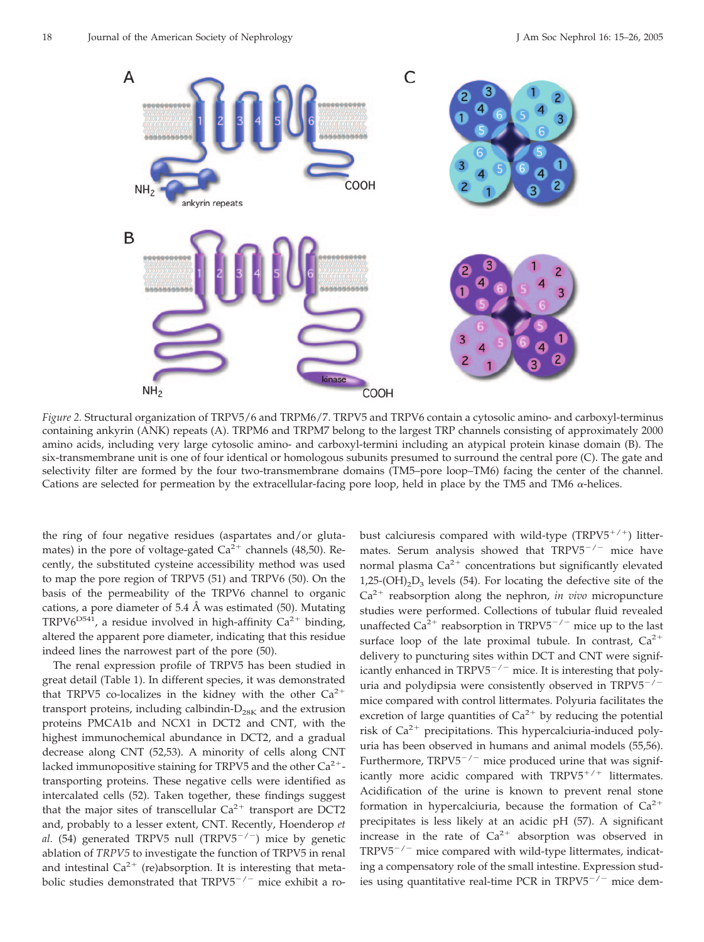

*Figure 2.* Structural organization of TRPV5/6 and TRPM6/7. TRPV5 and TRPV6 contain a cytosolic amino- and carboxyl-terminus containing ankyrin (ANK) repeats (A). TRPM6 and TRPM7 belong to the largest TRP channels consisting of approximately 2000 amino acids, including very large cytosolic amino- and carboxyl-termini including an atypical protein kinase domain (B). The six-transmembrane unit is one of four identical or homologous subunits presumed to surround the central pore (C). The gate and selectivity filter are formed by the four two-transmembrane domains (TM5–pore loop–TM6) facing the center of the channel. Cations are selected for permeation by the extracellular-facing pore loop, held in place by the TM5 and TM6  $\alpha$ -helices.

the ring of four negative residues (aspartates and/or glutamates) in the pore of voltage-gated  $Ca^{2+}$  channels (48,50). Recently, the substituted cysteine accessibility method was used to map the pore region of TRPV5 (51) and TRPV6 (50). On the basis of the permeability of the TRPV6 channel to organic cations, a pore diameter of 5.4 Å was estimated  $(50)$ . Mutating TRPV6<sup>D541</sup>, a residue involved in high-affinity  $Ca^{2+}$  binding, altered the apparent pore diameter, indicating that this residue indeed lines the narrowest part of the pore (50).

The renal expression profile of TRPV5 has been studied in great detail (Table 1). In different species, it was demonstrated that TRPV5 co-localizes in the kidney with the other  $Ca^{2+}$ transport proteins, including calbindin- $D_{28K}$  and the extrusion proteins PMCA1b and NCX1 in DCT2 and CNT, with the highest immunochemical abundance in DCT2, and a gradual decrease along CNT (52,53). A minority of cells along CNT lacked immunopositive staining for TRPV5 and the other  $Ca^{2+}$ transporting proteins. These negative cells were identified as intercalated cells (52). Taken together, these findings suggest that the major sites of transcellular  $Ca^{2+}$  transport are DCT2 and, probably to a lesser extent, CNT. Recently, Hoenderop *et al.* (54) generated TRPV5 null (TRPV5<sup>-/-</sup>) mice by genetic ablation of *TRPV5* to investigate the function of TRPV5 in renal and intestinal  $Ca^{2+}$  (re)absorption. It is interesting that metabolic studies demonstrated that  $TRPV5^{-/-}$  mice exhibit a robust calciuresis compared with wild-type  $(TRPV5^{+/+})$  littermates. Serum analysis showed that  $TRPV5^{-/-}$  mice have normal plasma  $\text{Ca}^{2+}$  concentrations but significantly elevated  $1,25$ -(OH)<sub>2</sub>D<sub>3</sub> levels (54). For locating the defective site of the  $Ca<sup>2+</sup>$  reabsorption along the nephron, *in vivo* micropuncture studies were performed. Collections of tubular fluid revealed unaffected  $Ca^{2+}$  reabsorption in TRPV5<sup>-/-</sup> mice up to the last surface loop of the late proximal tubule. In contrast,  $Ca^{2+}$ delivery to puncturing sites within DCT and CNT were significantly enhanced in  $TRPV5^{-/-}$  mice. It is interesting that polyuria and polydipsia were consistently observed in  $TRPV5^{-/-}$ mice compared with control littermates. Polyuria facilitates the excretion of large quantities of  $Ca^{2+}$  by reducing the potential risk of  $Ca^{2+}$  precipitations. This hypercalciuria-induced polyuria has been observed in humans and animal models (55,56). Furthermore,  $TRPV5^{-/-}$  mice produced urine that was significantly more acidic compared with  $TRPV5^{+/+}$  littermates. Acidification of the urine is known to prevent renal stone formation in hypercalciuria, because the formation of  $Ca^{2+}$ precipitates is less likely at an acidic pH (57). A significant increase in the rate of  $Ca^{2+}$  absorption was observed in  $TRPV5^{-/-}$  mice compared with wild-type littermates, indicating a compensatory role of the small intestine. Expression studies using quantitative real-time PCR in  $TRPV5^{-/-}$  mice dem-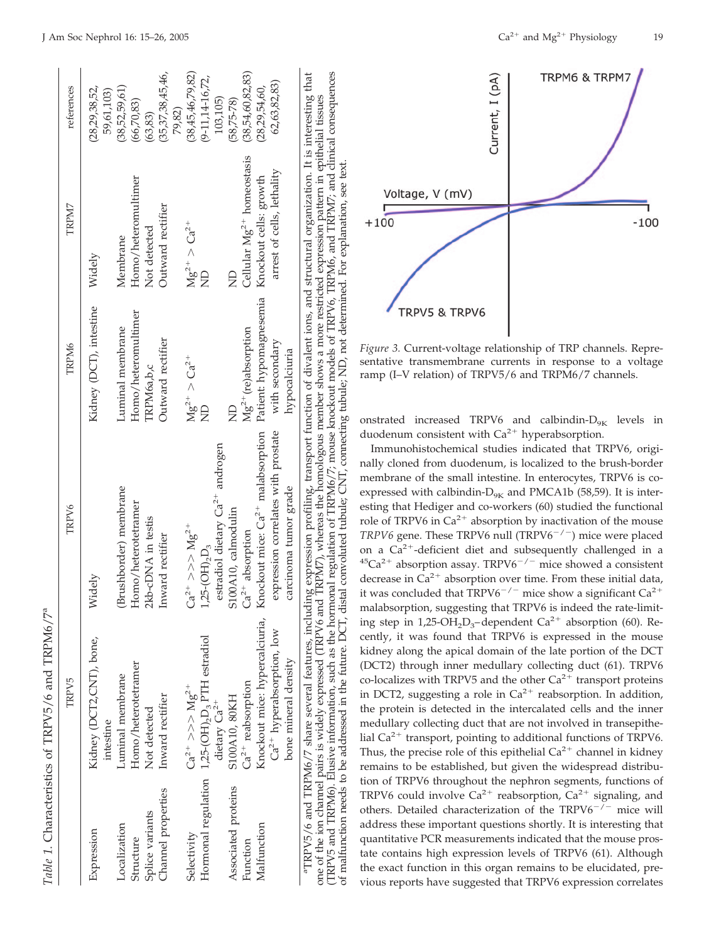|                     | <b>TRPV5</b>                                       | TRPV6                                                                                                                                                                                                                            | <b>TRPM6</b>                                   | TRPM7                                 | references                  |
|---------------------|----------------------------------------------------|----------------------------------------------------------------------------------------------------------------------------------------------------------------------------------------------------------------------------------|------------------------------------------------|---------------------------------------|-----------------------------|
| Expression          | Kidney (DCT2,CNT), bone,                           | Widely                                                                                                                                                                                                                           | Kidney (DCT), intestine                        | Widely                                | (28, 29, 38, 52,            |
| Localization        | Luminal membrane<br>intestine                      | Brushborder) membrane                                                                                                                                                                                                            | Luminal membrane                               | Membrane                              | (38,52,59,61)<br>59,61,103) |
| Structure           | Homo/heterotetramer                                | Homo/heterotetramer                                                                                                                                                                                                              | Homo/heteromultimer                            | Homo/heteromultimer                   | (66, 70, 83)                |
| Splice variants     | Not detected                                       | kb-cDNA in testis                                                                                                                                                                                                                | TRPM <sub>6a,b,c</sub>                         | Not detected                          | (63, 83)                    |
| Channel properties  | Inward rectifier                                   | Inward rectifier                                                                                                                                                                                                                 | Outward rectifier                              | Outward rectifier                     | (35,37,38,45,46,            |
|                     |                                                    |                                                                                                                                                                                                                                  |                                                |                                       | 79,82)                      |
| Selectivity         | $Ca^{2+} >> Mg^{2+}$                               | $Ca^{2+} >> > Mg^{2+}$                                                                                                                                                                                                           | $Mg^{2+} > Ca^{2+}$                            | $Mg^{2+} > Ca^{2+}$                   | (38, 45, 46, 79, 82)        |
|                     | Hormonal regulation $1,25-(OH)_2D_3$ PTH estradiol | $1,25-(OH)_{2}D_{3}$                                                                                                                                                                                                             | ₿                                              | g                                     | $(9-11, 14-16, 72,$         |
|                     | dietary $Ca^{2+}$                                  | estradiol dietary $Ca^{2+}$ androgen                                                                                                                                                                                             |                                                |                                       | 103,105)                    |
| Associated proteins | S100A10, 80KH                                      | S100A10, calmodulin                                                                                                                                                                                                              | g                                              |                                       | $(58,75 - 78)$              |
| Function            | $Ca2+$ reabsorption                                | $Ca2+$ absorption                                                                                                                                                                                                                | $Mg^{2+}$ (re)absorption                       | Cellular Mg <sup>2+</sup> homeostasis | (38,54,60,82,83)            |
| Malfunction         | Knockout mice: hypercalciuria,                     | Knockout mice: $Ca^{2+}$ malabsorption                                                                                                                                                                                           | Patient: hypomagnesemia Knockout cells: growth |                                       | (28, 29, 54, 60,            |
|                     | Ca <sup>2+</sup> hyperabsorption, low              | expression correlates with prostate                                                                                                                                                                                              | with secondary                                 | arrest of cells, lethality            | 62,63,82,83)                |
|                     | bone mineral density                               | carcinoma tumor grade                                                                                                                                                                                                            | hypocalciuria                                  |                                       |                             |
|                     |                                                    | "TRPV5/6 and TRPM6/7 share several features, including expression profiling, transport function of divalent ions, and structural organization. It is interesting that<br>one of the ion channel pairs is widely expressed (TRPV6 |                                                |                                       |                             |

(TRPV5 and TRPM6). Elusive information, such as the hormonal regulation of TRPM6/7; mouse knockout models of TRPV6, TRPM6, and TRPM7; and clinical consequences

to be addressed

malfunction needs

ð

(TRPV5 and TRPM6). Elusive information, such as the hormonal regulation of TRPM6/7; mouse knockout models of TRPV6, TRPM6, and TRPM7; and clinical consequences



*Figure 3.* Current-voltage relationship of TRP channels. Representative transmembrane currents in response to a voltage ramp (I–V relation) of TRPV5/6 and TRPM6/7 channels.

onstrated increased TRPV6 and calbindin- $D_{9K}$  levels in duodenum consistent with  $Ca^{2+}$  hyperabsorption.

Immunohistochemical studies indicated that TRPV6, originally cloned from duodenum, is localized to the brush-border membrane of the small intestine. In enterocytes, TRPV6 is coexpressed with calbindin- $D_{9K}$  and PMCA1b (58,59). It is interesting that Hediger and co-workers (60) studied the functional role of TRPV6 in  $Ca^{2+}$  absorption by inactivation of the mouse *TRPV6* gene. These TRPV6 null (TRPV6<sup>-/-</sup>) mice were placed on a  $\tilde{Ca}^{2+}$ -deficient diet and subsequently challenged in a  $45Ca^{2+}$  absorption assay. TRPV6<sup>-/-</sup> mice showed a consistent decrease in  $Ca^{2+}$  absorption over time. From these initial data, it was concluded that  $TRPV6^{-/-}$  mice show a significant  $Ca^{2+}$ malabsorption, suggesting that TRPV6 is indeed the rate-limiting step in 1,25-OH<sub>2</sub>D<sub>3</sub>-dependent Ca<sup>2+</sup> absorption (60). Recently, it was found that TRPV6 is expressed in the mouse kidney along the apical domain of the late portion of the DCT (DCT2) through inner medullary collecting duct (61). TRPV6 co-localizes with TRPV5 and the other  $Ca^{2+}$  transport proteins in DCT2, suggesting a role in  $Ca^{2+}$  reabsorption. In addition, the protein is detected in the intercalated cells and the inner medullary collecting duct that are not involved in transepithelial  $Ca^{2+}$  transport, pointing to additional functions of TRPV6. Thus, the precise role of this epithelial  $Ca^{2+}$  channel in kidney remains to be established, but given the widespread distribution of TRPV6 throughout the nephron segments, functions of TRPV6 could involve  $Ca^{2+}$  reabsorption,  $Ca^{2+}$  signaling, and others. Detailed characterization of the TRPV6<sup>-/-</sup> mice will address these important questions shortly. It is interesting that quantitative PCR measurements indicated that the mouse prostate contains high expression levels of TRPV6 (61). Although the exact function in this organ remains to be elucidated, previous reports have suggested that TRPV6 expression correlates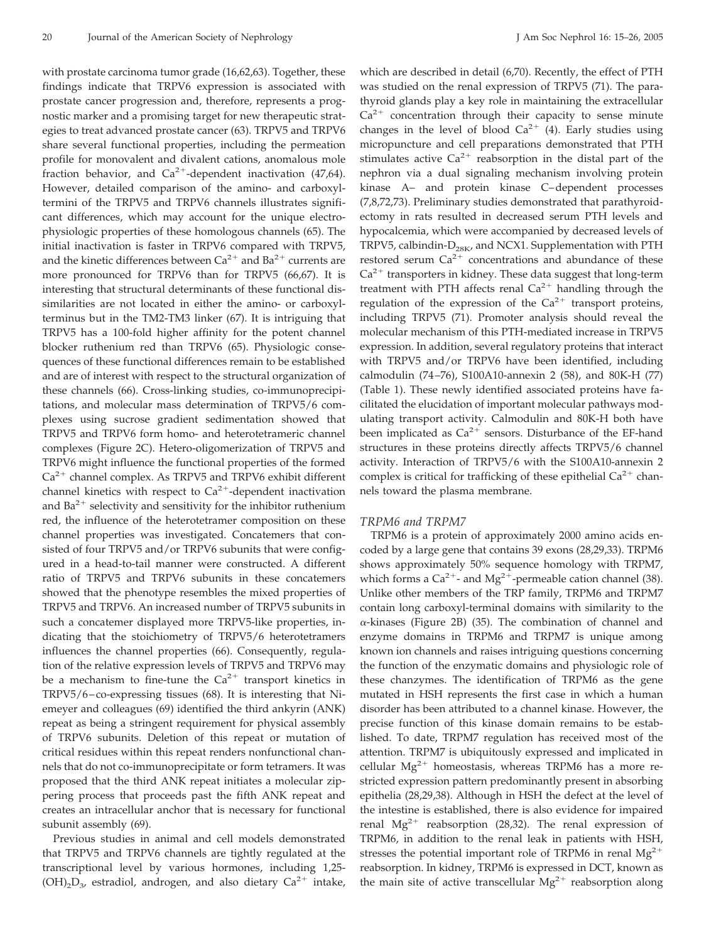with prostate carcinoma tumor grade (16,62,63). Together, these findings indicate that TRPV6 expression is associated with prostate cancer progression and, therefore, represents a prognostic marker and a promising target for new therapeutic strategies to treat advanced prostate cancer (63). TRPV5 and TRPV6 share several functional properties, including the permeation profile for monovalent and divalent cations, anomalous mole fraction behavior, and  $Ca^{2+}$ -dependent inactivation (47,64). However, detailed comparison of the amino- and carboxyltermini of the TRPV5 and TRPV6 channels illustrates significant differences, which may account for the unique electrophysiologic properties of these homologous channels (65). The initial inactivation is faster in TRPV6 compared with TRPV5, and the kinetic differences between  $Ca^{2+}$  and  $Ba^{2+}$  currents are more pronounced for TRPV6 than for TRPV5 (66,67). It is interesting that structural determinants of these functional dissimilarities are not located in either the amino- or carboxylterminus but in the TM2-TM3 linker (67). It is intriguing that TRPV5 has a 100-fold higher affinity for the potent channel blocker ruthenium red than TRPV6 (65). Physiologic consequences of these functional differences remain to be established and are of interest with respect to the structural organization of these channels (66). Cross-linking studies, co-immunoprecipitations, and molecular mass determination of TRPV5/6 complexes using sucrose gradient sedimentation showed that TRPV5 and TRPV6 form homo- and heterotetrameric channel complexes (Figure 2C). Hetero-oligomerization of TRPV5 and TRPV6 might influence the functional properties of the formed  $Ca<sup>2+</sup>$  channel complex. As TRPV5 and TRPV6 exhibit different channel kinetics with respect to  $Ca^{2+}$ -dependent inactivation and  $Ba^{2+}$  selectivity and sensitivity for the inhibitor ruthenium red, the influence of the heterotetramer composition on these channel properties was investigated. Concatemers that consisted of four TRPV5 and/or TRPV6 subunits that were configured in a head-to-tail manner were constructed. A different ratio of TRPV5 and TRPV6 subunits in these concatemers showed that the phenotype resembles the mixed properties of TRPV5 and TRPV6. An increased number of TRPV5 subunits in such a concatemer displayed more TRPV5-like properties, indicating that the stoichiometry of TRPV5/6 heterotetramers influences the channel properties (66). Consequently, regulation of the relative expression levels of TRPV5 and TRPV6 may be a mechanism to fine-tune the  $Ca^{2+}$  transport kinetics in TRPV5/6 – co-expressing tissues (68). It is interesting that Niemeyer and colleagues (69) identified the third ankyrin (ANK) repeat as being a stringent requirement for physical assembly of TRPV6 subunits. Deletion of this repeat or mutation of critical residues within this repeat renders nonfunctional channels that do not co-immunoprecipitate or form tetramers. It was proposed that the third ANK repeat initiates a molecular zippering process that proceeds past the fifth ANK repeat and creates an intracellular anchor that is necessary for functional subunit assembly (69).

Previous studies in animal and cell models demonstrated that TRPV5 and TRPV6 channels are tightly regulated at the transcriptional level by various hormones, including 1,25-  $(OH)_2D_3$ , estradiol, androgen, and also dietary  $Ca^{2+}$  intake,

which are described in detail (6,70). Recently, the effect of PTH was studied on the renal expression of TRPV5 (71). The parathyroid glands play a key role in maintaining the extracellular  $Ca<sup>2+</sup>$  concentration through their capacity to sense minute changes in the level of blood  $Ca^{2+}$  (4). Early studies using micropuncture and cell preparations demonstrated that PTH stimulates active  $Ca^{2+}$  reabsorption in the distal part of the nephron via a dual signaling mechanism involving protein kinase A– and protein kinase C–dependent processes (7,8,72,73). Preliminary studies demonstrated that parathyroidectomy in rats resulted in decreased serum PTH levels and hypocalcemia, which were accompanied by decreased levels of TRPV5, calbindin- $D_{28K}$ , and NCX1. Supplementation with PTH restored serum  $Ca^{2+}$  concentrations and abundance of these  $Ca<sup>2+</sup>$  transporters in kidney. These data suggest that long-term treatment with PTH affects renal  $Ca^{2+}$  handling through the regulation of the expression of the  $Ca^{2+}$  transport proteins, including TRPV5 (71). Promoter analysis should reveal the molecular mechanism of this PTH-mediated increase in TRPV5 expression. In addition, several regulatory proteins that interact with TRPV5 and/or TRPV6 have been identified, including calmodulin (74 –76), S100A10-annexin 2 (58), and 80K-H (77) (Table 1). These newly identified associated proteins have facilitated the elucidation of important molecular pathways modulating transport activity. Calmodulin and 80K-H both have been implicated as  $Ca^{2+}$  sensors. Disturbance of the EF-hand structures in these proteins directly affects TRPV5/6 channel activity. Interaction of TRPV5/6 with the S100A10-annexin 2 complex is critical for trafficking of these epithelial  $Ca^{2+}$  channels toward the plasma membrane.

#### *TRPM6 and TRPM7*

TRPM6 is a protein of approximately 2000 amino acids encoded by a large gene that contains 39 exons (28,29,33). TRPM6 shows approximately 50% sequence homology with TRPM7, which forms a  $Ca^{2+}$ - and  $Mg^{2+}$ -permeable cation channel (38). Unlike other members of the TRP family, TRPM6 and TRPM7 contain long carboxyl-terminal domains with similarity to the -kinases (Figure 2B) (35). The combination of channel and enzyme domains in TRPM6 and TRPM7 is unique among known ion channels and raises intriguing questions concerning the function of the enzymatic domains and physiologic role of these chanzymes. The identification of TRPM6 as the gene mutated in HSH represents the first case in which a human disorder has been attributed to a channel kinase. However, the precise function of this kinase domain remains to be established. To date, TRPM7 regulation has received most of the attention. TRPM7 is ubiquitously expressed and implicated in cellular  $Mg^{2+}$  homeostasis, whereas TRPM6 has a more restricted expression pattern predominantly present in absorbing epithelia (28,29,38). Although in HSH the defect at the level of the intestine is established, there is also evidence for impaired renal  $Mg^{2+}$  reabsorption (28,32). The renal expression of TRPM6, in addition to the renal leak in patients with HSH, stresses the potential important role of TRPM6 in renal  $Mg^{2+}$ reabsorption. In kidney, TRPM6 is expressed in DCT, known as the main site of active transcellular  $Mg^{2+}$  reabsorption along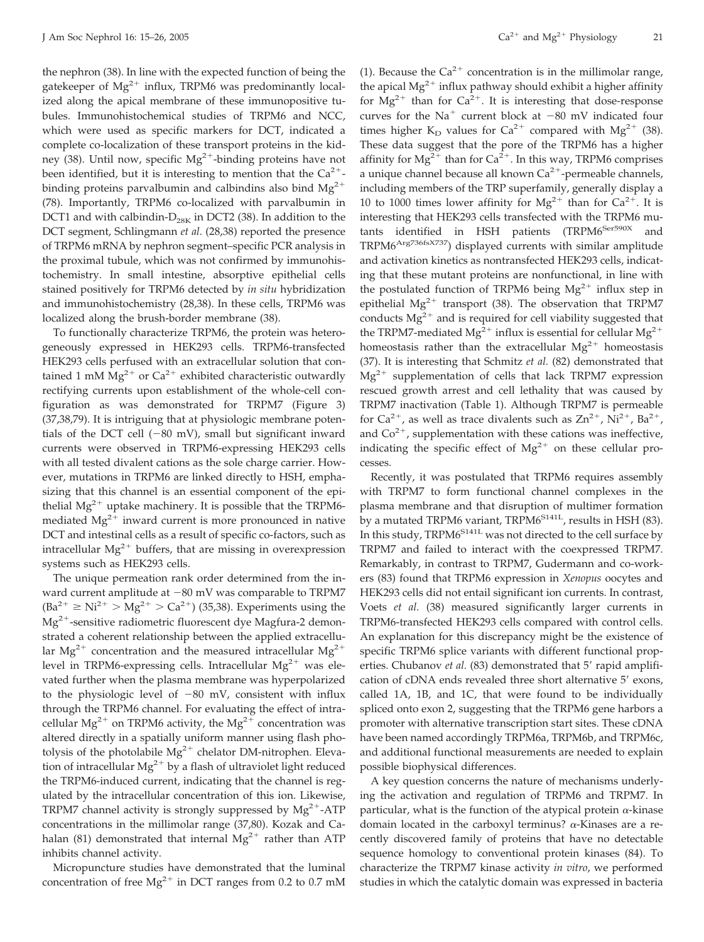the nephron (38). In line with the expected function of being the gatekeeper of  $Mg^{2+}$  influx, TRPM6 was predominantly localized along the apical membrane of these immunopositive tubules. Immunohistochemical studies of TRPM6 and NCC, which were used as specific markers for DCT, indicated a complete co-localization of these transport proteins in the kidney (38). Until now, specific  $Mg^{2+}$ -binding proteins have not been identified, but it is interesting to mention that the  $Ca^{2+}$ binding proteins parvalbumin and calbindins also bind  $Mg^{2+}$ (78). Importantly, TRPM6 co-localized with parvalbumin in DCT1 and with calbindin- $D_{28K}$  in DCT2 (38). In addition to the DCT segment, Schlingmann *et al.* (28,38) reported the presence of TRPM6 mRNA by nephron segment–specific PCR analysis in the proximal tubule, which was not confirmed by immunohistochemistry. In small intestine, absorptive epithelial cells stained positively for TRPM6 detected by *in situ* hybridization and immunohistochemistry (28,38). In these cells, TRPM6 was localized along the brush-border membrane (38).

To functionally characterize TRPM6, the protein was heterogeneously expressed in HEK293 cells. TRPM6-transfected HEK293 cells perfused with an extracellular solution that contained 1 mM  $Mg^{2+}$  or  $Ca^{2+}$  exhibited characteristic outwardly rectifying currents upon establishment of the whole-cell configuration as was demonstrated for TRPM7 (Figure 3) (37,38,79). It is intriguing that at physiologic membrane potentials of the DCT cell  $(-80 \text{ mV})$ , small but significant inward currents were observed in TRPM6-expressing HEK293 cells with all tested divalent cations as the sole charge carrier. However, mutations in TRPM6 are linked directly to HSH, emphasizing that this channel is an essential component of the epithelial  $Mg^{2+}$  uptake machinery. It is possible that the TRPM6mediated  $Mg^{2+}$  inward current is more pronounced in native DCT and intestinal cells as a result of specific co-factors, such as intracellular  $Mg^{2+}$  buffers, that are missing in overexpression systems such as HEK293 cells.

The unique permeation rank order determined from the inward current amplitude at  $-80$  mV was comparable to TRPM7  $(Ba^{2+} \geq Ni^{2+} > Mg^{2+} > Ca^{2+})$  (35,38). Experiments using the  $Mg^{2+}$ -sensitive radiometric fluorescent dye Magfura-2 demonstrated a coherent relationship between the applied extracellular Mg<sup>2+</sup> concentration and the measured intracellular Mg<sup>2+</sup> level in TRPM6-expressing cells. Intracellular  $Mg^{2+}$  was elevated further when the plasma membrane was hyperpolarized to the physiologic level of  $-80$  mV, consistent with influx through the TRPM6 channel. For evaluating the effect of intracellular  $Mg^{2+}$  on TRPM6 activity, the  $Mg^{2+}$  concentration was altered directly in a spatially uniform manner using flash photolysis of the photolabile  $Mg^{2+}$  chelator DM-nitrophen. Elevation of intracellular  $Mg^{2+}$  by a flash of ultraviolet light reduced the TRPM6-induced current, indicating that the channel is regulated by the intracellular concentration of this ion. Likewise, TRPM7 channel activity is strongly suppressed by  $Mg^{2+}$ -ATP concentrations in the millimolar range (37,80). Kozak and Cahalan (81) demonstrated that internal  $Mg^{2+}$  rather than ATP inhibits channel activity.

Micropuncture studies have demonstrated that the luminal concentration of free  $Mg^{2+}$  in DCT ranges from 0.2 to 0.7 mM

(1). Because the  $Ca^{2+}$  concentration is in the millimolar range, the apical  $Mg^{2+}$  influx pathway should exhibit a higher affinity for  $Mg^{2+}$  than for  $Ca^{2+}$ . It is interesting that dose-response curves for the Na<sup>+</sup> current block at  $-80$  mV indicated four times higher  $K_D$  values for  $Ca^{2+}$  compared with  $Mg^{2+}$  (38). These data suggest that the pore of the TRPM6 has a higher affinity for  $Mg^{2+}$  than for  $Ca^{2+}$ . In this way, TRPM6 comprises a unique channel because all known  $Ca^{2+}$ -permeable channels, including members of the TRP superfamily, generally display a 10 to 1000 times lower affinity for  $Mg^{2+}$  than for  $Ca^{2+}$ . It is interesting that HEK293 cells transfected with the TRPM6 mutants identified in HSH patients (TRPM6<sup>Ser590X</sup> and TRPM6<sup>Arg736fsX737</sup>) displayed currents with similar amplitude and activation kinetics as nontransfected HEK293 cells, indicating that these mutant proteins are nonfunctional, in line with the postulated function of TRPM6 being  $Mg^{2+}$  influx step in epithelial  $Mg^{2+}$  transport (38). The observation that TRPM7 conducts  $Mg^{2+}$  and is required for cell viability suggested that the TRPM7-mediated  $Mg^{2+}$  influx is essential for cellular  $Mg^{2+}$ homeostasis rather than the extracellular  $Mg^{2+}$  homeostasis (37). It is interesting that Schmitz *et al.* (82) demonstrated that  $Mg^{2+}$  supplementation of cells that lack TRPM7 expression rescued growth arrest and cell lethality that was caused by TRPM7 inactivation (Table 1). Although TRPM7 is permeable for  $Ca^{2+}$ , as well as trace divalents such as  $Zn^{2+}$ , Ni<sup>2+</sup>, Ba<sup>2+</sup>, and  $Co<sup>2+</sup>$ , supplementation with these cations was ineffective, indicating the specific effect of  $Mg^{2+}$  on these cellular processes.

Recently, it was postulated that TRPM6 requires assembly with TRPM7 to form functional channel complexes in the plasma membrane and that disruption of multimer formation by a mutated TRPM6 variant, TRPM6<sup>S141L</sup>, results in HSH (83). In this study, TRPM6<sup>S141L</sup> was not directed to the cell surface by TRPM7 and failed to interact with the coexpressed TRPM7. Remarkably, in contrast to TRPM7, Gudermann and co-workers (83) found that TRPM6 expression in *Xenopus* oocytes and HEK293 cells did not entail significant ion currents. In contrast, Voets *et al.* (38) measured significantly larger currents in TRPM6-transfected HEK293 cells compared with control cells. An explanation for this discrepancy might be the existence of specific TRPM6 splice variants with different functional properties. Chubanov *et al.* (83) demonstrated that 5' rapid amplification of cDNA ends revealed three short alternative 5' exons, called 1A, 1B, and 1C, that were found to be individually spliced onto exon 2, suggesting that the TRPM6 gene harbors a promoter with alternative transcription start sites. These cDNA have been named accordingly TRPM6a, TRPM6b, and TRPM6c, and additional functional measurements are needed to explain possible biophysical differences.

A key question concerns the nature of mechanisms underlying the activation and regulation of TRPM6 and TRPM7. In particular, what is the function of the atypical protein  $\alpha$ -kinase domain located in the carboxyl terminus?  $\alpha$ -Kinases are a recently discovered family of proteins that have no detectable sequence homology to conventional protein kinases (84). To characterize the TRPM7 kinase activity *in vitro*, we performed studies in which the catalytic domain was expressed in bacteria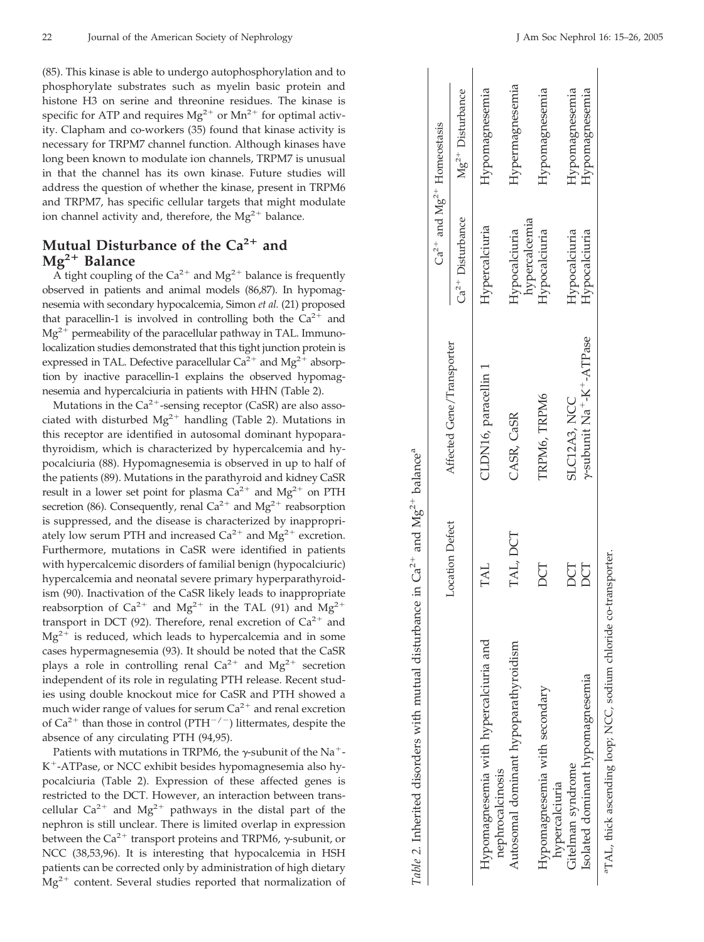(85). This kinase is able to undergo autophosphorylation and to phosphorylate substrates such as myelin basic protein and histone H3 on serine and threonine residues. The kinase is specific for ATP and requires  $Mg^{2+}$  or  $Mn^{2+}$  for optimal activity. Clapham and co-workers (35) found that kinase activity is necessary for TRPM7 channel function. Although kinases have long been known to modulate ion channels, TRPM7 is unusual in that the channel has its own kinase. Future studies will address the question of whether the kinase, present in TRPM6 and TRPM7, has specific cellular targets that might modulate ion channel activity and, therefore, the  $Mg^{2+}$  balance.

# **Mutual Disturbance of the Ca2 and Mg2 Balance**

A tight coupling of the  $Ca^{2+}$  and  $Mg^{2+}$  balance is frequently observed in patients and animal models (86,87). In hypomagnesemia with secondary hypocalcemia, Simon *et al.* (21) proposed that paracellin-1 is involved in controlling both the  $Ca^{2+}$  and  $Mg^{2+}$  permeability of the paracellular pathway in TAL. Immunolocalization studies demonstrated that this tight junction protein is expressed in TAL. Defective paracellular  $Ca^{2+}$  and  $Mg^{2+}$  absorption by inactive paracellin-1 explains the observed hypomagnesemia and hypercalciuria in patients with HHN (Table 2).

Mutations in the  $Ca^{2+}$ -sensing receptor (CaSR) are also associated with disturbed  $Mg^{2+}$  handling (Table 2). Mutations in this receptor are identified in autosomal dominant hypoparathyroidism, which is characterized by hypercalcemia and hypocalciuria (88). Hypomagnesemia is observed in up to half of the patients (89). Mutations in the parathyroid and kidney CaSR result in a lower set point for plasma  $Ca^{2+}$  and  $Mg^{2+}$  on PTH secretion (86). Consequently, renal  $Ca^{2+}$  and  $Mg^{2+}$  reabsorption is suppressed, and the disease is characterized by inappropriately low serum PTH and increased  $Ca^{2+}$  and  $Mg^{2+}$  excretion. Furthermore, mutations in CaSR were identified in patients with hypercalcemic disorders of familial benign (hypocalciuric) hypercalcemia and neonatal severe primary hyperparathyroidism (90). Inactivation of the CaSR likely leads to inappropriate reabsorption of  $Ca^{2+}$  and  $Mg^{2+}$  in the TAL (91) and  $Mg^{2+}$ transport in DCT (92). Therefore, renal excretion of  $Ca^{2+}$  and  $Mg^{2+}$  is reduced, which leads to hypercalcemia and in some cases hypermagnesemia (93). It should be noted that the CaSR plays a role in controlling renal  $Ca^{2+}$  and  $Mg^{2+}$  secretion independent of its role in regulating PTH release. Recent studies using double knockout mice for CaSR and PTH showed a much wider range of values for serum  $Ca^{2+}$  and renal excretion of  $Ca^{2+}$  than those in control (PTH<sup>-/-</sup>) littermates, despite the absence of any circulating PTH (94,95).

Patients with mutations in TRPM6, the  $\gamma$ -subunit of the Na<sup>+</sup>- $K^+$ -ATPase, or NCC exhibit besides hypomagnesemia also hypocalciuria (Table 2). Expression of these affected genes is restricted to the DCT. However, an interaction between transcellular  $Ca^{2+}$  and  $Mg^{2+}$  pathways in the distal part of the nephron is still unclear. There is limited overlap in expression between the  $Ca^{2+}$  transport proteins and TRPM6,  $\gamma$ -subunit, or NCC (38,53,96). It is interesting that hypocalcemia in HSH patients can be corrected only by administration of high dietary  $Mg^{2+}$  content. Several studies reported that normalization of

| Table 2. Inherited disorders with mutual disturbance in $Ca^{2+}$ and $Mg^{2+}$ balance <sup>a</sup> |                 |                                                                   |                                |                                     |
|------------------------------------------------------------------------------------------------------|-----------------|-------------------------------------------------------------------|--------------------------------|-------------------------------------|
|                                                                                                      |                 |                                                                   |                                | $Ca^{2+}$ and $Mg^{2+}$ Homeostasis |
|                                                                                                      | Location Defect | Affected Gene/Transporter                                         | $Ca2+$ Disturbance             | $Mg^{2+}$ Disturbance               |
| Hypomagnesemia with hypercalciuria and<br>nephrocalcinosis                                           | TAL             | CLDN16, paracellin 1                                              | Hypercalciuria                 | Hypomagnesemia                      |
| Autosomal dominant hypoparathyroidism                                                                | TAL, DCT        | CASR, CaSR                                                        | Hypocalciuria                  | Hypermagnesemia                     |
| Hypomagnesemia with secondary<br>hypercalciuria                                                      | DCT             | TRPM6, TRPM6                                                      | hypercalcemia<br>Hypocalciuria | Hypomagnesemia                      |
| Isolated dominant hypomagnesemia<br>Gitelman syndrome                                                | DCT<br>DCT      | y-subunit Na <sup>+</sup> -K <sup>+</sup> -ATPase<br>SLC12A3, NCC | Hypocalciuria<br>Hypocalciuria | Hypomagnesemia<br>Hypomagnesemia    |
|                                                                                                      |                 |                                                                   |                                |                                     |

aTAL, thick ascending loop; NCC, sodium chloride co-transporter. <sup>a</sup>TAL, thick ascending loop; NCC, sodium chloride co-transporter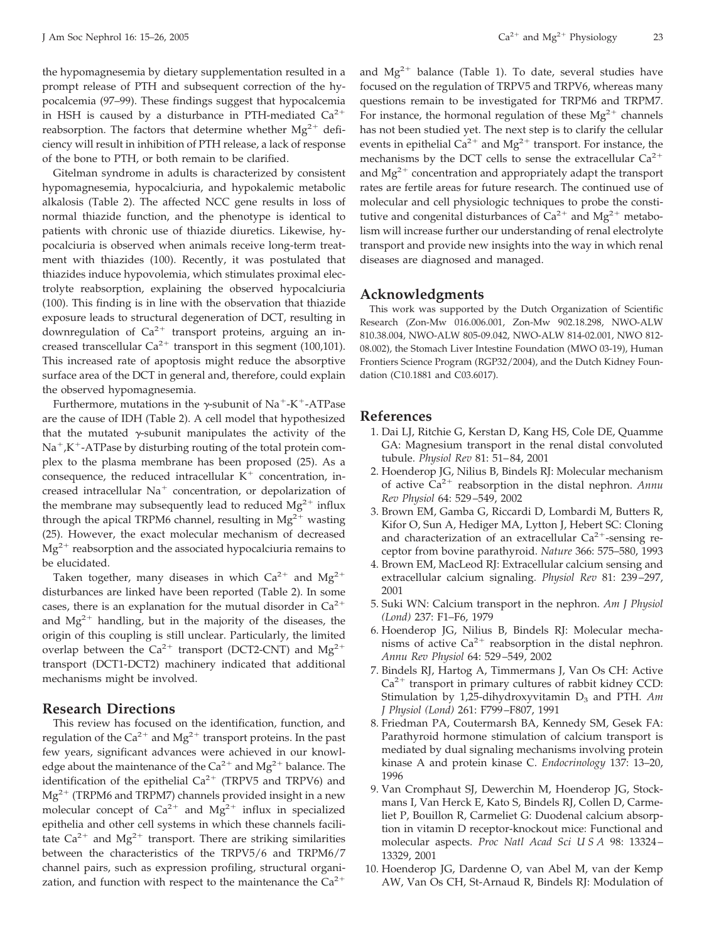the hypomagnesemia by dietary supplementation resulted in a prompt release of PTH and subsequent correction of the hypocalcemia (97–99). These findings suggest that hypocalcemia in HSH is caused by a disturbance in PTH-mediated  $Ca^{2+}$ reabsorption. The factors that determine whether  $Mg^{2+}$  deficiency will result in inhibition of PTH release, a lack of response of the bone to PTH, or both remain to be clarified.

Gitelman syndrome in adults is characterized by consistent hypomagnesemia, hypocalciuria, and hypokalemic metabolic alkalosis (Table 2). The affected NCC gene results in loss of normal thiazide function, and the phenotype is identical to patients with chronic use of thiazide diuretics. Likewise, hypocalciuria is observed when animals receive long-term treatment with thiazides (100). Recently, it was postulated that thiazides induce hypovolemia, which stimulates proximal electrolyte reabsorption, explaining the observed hypocalciuria (100). This finding is in line with the observation that thiazide exposure leads to structural degeneration of DCT, resulting in downregulation of  $Ca^{2+}$  transport proteins, arguing an increased transcellular  $Ca^{2+}$  transport in this segment (100,101). This increased rate of apoptosis might reduce the absorptive surface area of the DCT in general and, therefore, could explain the observed hypomagnesemia.

Furthermore, mutations in the  $\gamma$ -subunit of Na<sup>+</sup>-K<sup>+</sup>-ATPase are the cause of IDH (Table 2). A cell model that hypothesized that the mutated  $\gamma$ -subunit manipulates the activity of the  $Na^+$ ,K<sup>+</sup>-ATPase by disturbing routing of the total protein complex to the plasma membrane has been proposed (25). As a consequence, the reduced intracellular  $K^+$  concentration, increased intracellular  $Na<sup>+</sup>$  concentration, or depolarization of the membrane may subsequently lead to reduced  $Mg^{2+}$  influx through the apical TRPM6 channel, resulting in  $Mg^{2+}$  wasting (25). However, the exact molecular mechanism of decreased  $Mg^{2+}$  reabsorption and the associated hypocalciuria remains to be elucidated.

Taken together, many diseases in which  $Ca^{2+}$  and  $Mg^{2+}$ disturbances are linked have been reported (Table 2). In some cases, there is an explanation for the mutual disorder in  $Ca^{2+}$ and  $Mg^{2+}$  handling, but in the majority of the diseases, the origin of this coupling is still unclear. Particularly, the limited overlap between the  $Ca^{2+}$  transport (DCT2-CNT) and  $Mg^{2+}$ transport (DCT1-DCT2) machinery indicated that additional mechanisms might be involved.

#### **Research Directions**

This review has focused on the identification, function, and regulation of the  $Ca^{2+}$  and  $Mg^{2+}$  transport proteins. In the past few years, significant advances were achieved in our knowledge about the maintenance of the  $Ca^{2+}$  and  $Mg^{2+}$  balance. The identification of the epithelial  $Ca^{2+}$  (TRPV5 and TRPV6) and  $Mg^{2+}$  (TRPM6 and TRPM7) channels provided insight in a new molecular concept of  $Ca^{2+}$  and  $Mg^{2+}$  influx in specialized epithelia and other cell systems in which these channels facilitate  $Ca^{2+}$  and  $Mg^{2+}$  transport. There are striking similarities between the characteristics of the TRPV5/6 and TRPM6/7 channel pairs, such as expression profiling, structural organization, and function with respect to the maintenance the  $Ca^{2+}$ 

and  $Mg^{2+}$  balance (Table 1). To date, several studies have focused on the regulation of TRPV5 and TRPV6, whereas many questions remain to be investigated for TRPM6 and TRPM7. For instance, the hormonal regulation of these  $Mg^{2+}$  channels has not been studied yet. The next step is to clarify the cellular events in epithelial  $Ca^{2+}$  and  $Mg^{2+}$  transport. For instance, the mechanisms by the DCT cells to sense the extracellular  $Ca^{2+}$ and  $Mg^{2+}$  concentration and appropriately adapt the transport rates are fertile areas for future research. The continued use of molecular and cell physiologic techniques to probe the constitutive and congenital disturbances of  $Ca^{2+}$  and  $Mg^{2+}$  metabolism will increase further our understanding of renal electrolyte transport and provide new insights into the way in which renal diseases are diagnosed and managed.

#### **Acknowledgments**

This work was supported by the Dutch Organization of Scientific Research (Zon-Mw 016.006.001, Zon-Mw 902.18.298, NWO-ALW 810.38.004, NWO-ALW 805-09.042, NWO-ALW 814-02.001, NWO 812- 08.002), the Stomach Liver Intestine Foundation (MWO 03-19), Human Frontiers Science Program (RGP32/2004), and the Dutch Kidney Foundation (C10.1881 and C03.6017).

#### **References**

- 1. Dai LJ, Ritchie G, Kerstan D, Kang HS, Cole DE, Quamme GA: Magnesium transport in the renal distal convoluted tubule. *Physiol Rev* 81: 51– 84, 2001
- 2. Hoenderop JG, Nilius B, Bindels RJ: Molecular mechanism of active Ca<sup>2+</sup> reabsorption in the distal nephron. *Annu Rev Physiol* 64: 529 –549, 2002
- 3. Brown EM, Gamba G, Riccardi D, Lombardi M, Butters R, Kifor O, Sun A, Hediger MA, Lytton J, Hebert SC: Cloning and characterization of an extracellular  $Ca^{2+}$ -sensing receptor from bovine parathyroid. *Nature* 366: 575–580, 1993
- 4. Brown EM, MacLeod RJ: Extracellular calcium sensing and extracellular calcium signaling. *Physiol Rev* 81: 239 –297, 2001
- 5. Suki WN: Calcium transport in the nephron. *Am J Physiol (Lond)* 237: F1–F6, 1979
- 6. Hoenderop JG, Nilius B, Bindels RJ: Molecular mechanisms of active  $Ca^{2+}$  reabsorption in the distal nephron. *Annu Rev Physiol* 64: 529 –549, 2002
- 7. Bindels RJ, Hartog A, Timmermans J, Van Os CH: Active  $Ca<sup>2+</sup>$  transport in primary cultures of rabbit kidney CCD: Stimulation by 1,25-dihydroxyvitamin D<sub>3</sub> and PTH. Am *J Physiol (Lond)* 261: F799 –F807, 1991
- 8. Friedman PA, Coutermarsh BA, Kennedy SM, Gesek FA: Parathyroid hormone stimulation of calcium transport is mediated by dual signaling mechanisms involving protein kinase A and protein kinase C. *Endocrinology* 137: 13–20, 1996
- 9. Van Cromphaut SJ, Dewerchin M, Hoenderop JG, Stockmans I, Van Herck E, Kato S, Bindels RJ, Collen D, Carmeliet P, Bouillon R, Carmeliet G: Duodenal calcium absorption in vitamin D receptor-knockout mice: Functional and molecular aspects. *Proc Natl Acad Sci U S A* 98: 13324 – 13329, 2001
- 10. Hoenderop JG, Dardenne O, van Abel M, van der Kemp AW, Van Os CH, St-Arnaud R, Bindels RJ: Modulation of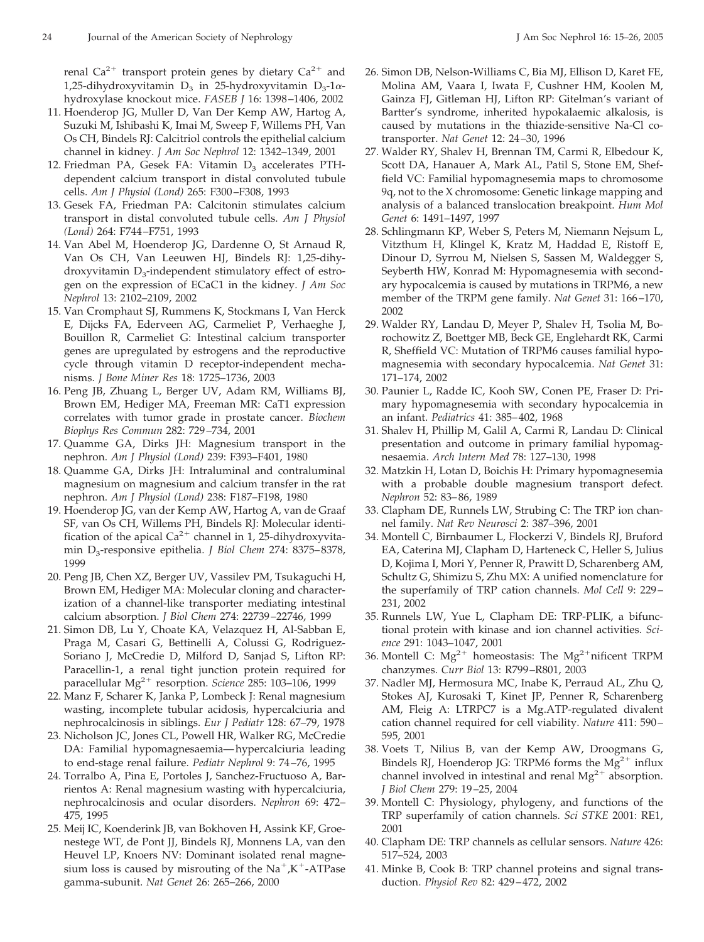renal Ca<sup>2+</sup> transport protein genes by dietary Ca<sup>2+</sup> and 1,25-dihydroxyvitamin D<sub>3</sub> in 25-hydroxyvitamin D<sub>3</sub>-1 $\alpha$ hydroxylase knockout mice. *FASEB J* 16: 1398 –1406, 2002

- 11. Hoenderop JG, Muller D, Van Der Kemp AW, Hartog A, Suzuki M, Ishibashi K, Imai M, Sweep F, Willems PH, Van Os CH, Bindels RJ: Calcitriol controls the epithelial calcium channel in kidney. *J Am Soc Nephrol* 12: 1342–1349, 2001
- 12. Friedman PA, Gesek FA: Vitamin  $D_3$  accelerates PTHdependent calcium transport in distal convoluted tubule cells. *Am J Physiol (Lond)* 265: F300 –F308, 1993
- 13. Gesek FA, Friedman PA: Calcitonin stimulates calcium transport in distal convoluted tubule cells. *Am J Physiol (Lond)* 264: F744 –F751, 1993
- 14. Van Abel M, Hoenderop JG, Dardenne O, St Arnaud R, Van Os CH, Van Leeuwen HJ, Bindels RJ: 1,25-dihydroxyvitamin  $D_3$ -independent stimulatory effect of estrogen on the expression of ECaC1 in the kidney. *J Am Soc Nephrol* 13: 2102–2109, 2002
- 15. Van Cromphaut SJ, Rummens K, Stockmans I, Van Herck E, Dijcks FA, Ederveen AG, Carmeliet P, Verhaeghe J, Bouillon R, Carmeliet G: Intestinal calcium transporter genes are upregulated by estrogens and the reproductive cycle through vitamin D receptor-independent mechanisms. *J Bone Miner Res* 18: 1725–1736, 2003
- 16. Peng JB, Zhuang L, Berger UV, Adam RM, Williams BJ, Brown EM, Hediger MA, Freeman MR: CaT1 expression correlates with tumor grade in prostate cancer. *Biochem Biophys Res Commun* 282: 729 –734, 2001
- 17. Quamme GA, Dirks JH: Magnesium transport in the nephron. *Am J Physiol (Lond)* 239: F393–F401, 1980
- 18. Quamme GA, Dirks JH: Intraluminal and contraluminal magnesium on magnesium and calcium transfer in the rat nephron. *Am J Physiol (Lond)* 238: F187–F198, 1980
- 19. Hoenderop JG, van der Kemp AW, Hartog A, van de Graaf SF, van Os CH, Willems PH, Bindels RJ: Molecular identification of the apical  $Ca^{2+}$  channel in 1, 25-dihydroxyvitamin D3-responsive epithelia. *J Biol Chem* 274: 8375– 8378, 1999
- 20. Peng JB, Chen XZ, Berger UV, Vassilev PM, Tsukaguchi H, Brown EM, Hediger MA: Molecular cloning and characterization of a channel-like transporter mediating intestinal calcium absorption. *J Biol Chem* 274: 22739 –22746, 1999
- 21. Simon DB, Lu Y, Choate KA, Velazquez H, Al-Sabban E, Praga M, Casari G, Bettinelli A, Colussi G, Rodriguez-Soriano J, McCredie D, Milford D, Sanjad S, Lifton RP: Paracellin-1, a renal tight junction protein required for paracellular Mg<sup>2+</sup> resorption. *Science* 285: 103-106, 1999
- 22. Manz F, Scharer K, Janka P, Lombeck J: Renal magnesium wasting, incomplete tubular acidosis, hypercalciuria and nephrocalcinosis in siblings. *Eur J Pediatr* 128: 67–79, 1978
- 23. Nicholson JC, Jones CL, Powell HR, Walker RG, McCredie DA: Familial hypomagnesaemia— hypercalciuria leading to end-stage renal failure. *Pediatr Nephrol* 9: 74 –76, 1995
- 24. Torralbo A, Pina E, Portoles J, Sanchez-Fructuoso A, Barrientos A: Renal magnesium wasting with hypercalciuria, nephrocalcinosis and ocular disorders. *Nephron* 69: 472– 475, 1995
- 25. Meij IC, Koenderink JB, van Bokhoven H, Assink KF, Groenestege WT, de Pont JJ, Bindels RJ, Monnens LA, van den Heuvel LP, Knoers NV: Dominant isolated renal magnesium loss is caused by misrouting of the  $Na^+, K^-\text{ATPase}$ gamma-subunit. *Nat Genet* 26: 265–266, 2000
- 26. Simon DB, Nelson-Williams C, Bia MJ, Ellison D, Karet FE, Molina AM, Vaara I, Iwata F, Cushner HM, Koolen M, Gainza FJ, Gitleman HJ, Lifton RP: Gitelman's variant of Bartter's syndrome, inherited hypokalaemic alkalosis, is caused by mutations in the thiazide-sensitive Na-Cl cotransporter. *Nat Genet* 12: 24 –30, 1996
- 27. Walder RY, Shalev H, Brennan TM, Carmi R, Elbedour K, Scott DA, Hanauer A, Mark AL, Patil S, Stone EM, Sheffield VC: Familial hypomagnesemia maps to chromosome 9q, not to the X chromosome: Genetic linkage mapping and analysis of a balanced translocation breakpoint. *Hum Mol Genet* 6: 1491–1497, 1997
- 28. Schlingmann KP, Weber S, Peters M, Niemann Nejsum L, Vitzthum H, Klingel K, Kratz M, Haddad E, Ristoff E, Dinour D, Syrrou M, Nielsen S, Sassen M, Waldegger S, Seyberth HW, Konrad M: Hypomagnesemia with secondary hypocalcemia is caused by mutations in TRPM6, a new member of the TRPM gene family. *Nat Genet* 31: 166 –170, 2002
- 29. Walder RY, Landau D, Meyer P, Shalev H, Tsolia M, Borochowitz Z, Boettger MB, Beck GE, Englehardt RK, Carmi R, Sheffield VC: Mutation of TRPM6 causes familial hypomagnesemia with secondary hypocalcemia. *Nat Genet* 31: 171–174, 2002
- 30. Paunier L, Radde IC, Kooh SW, Conen PE, Fraser D: Primary hypomagnesemia with secondary hypocalcemia in an infant. *Pediatrics* 41: 385– 402, 1968
- 31. Shalev H, Phillip M, Galil A, Carmi R, Landau D: Clinical presentation and outcome in primary familial hypomagnesaemia. *Arch Intern Med* 78: 127–130, 1998
- 32. Matzkin H, Lotan D, Boichis H: Primary hypomagnesemia with a probable double magnesium transport defect. *Nephron* 52: 83– 86, 1989
- 33. Clapham DE, Runnels LW, Strubing C: The TRP ion channel family. *Nat Rev Neurosci* 2: 387–396, 2001
- 34. Montell C, Birnbaumer L, Flockerzi V, Bindels RJ, Bruford EA, Caterina MJ, Clapham D, Harteneck C, Heller S, Julius D, Kojima I, Mori Y, Penner R, Prawitt D, Scharenberg AM, Schultz G, Shimizu S, Zhu MX: A unified nomenclature for the superfamily of TRP cation channels. *Mol Cell* 9: 229 – 231, 2002
- 35. Runnels LW, Yue L, Clapham DE: TRP-PLIK, a bifunctional protein with kinase and ion channel activities. *Science* 291: 1043–1047, 2001
- 36. Montell C:  $Mg^{2+}$  homeostasis: The  $Mg^{2+}$ nificent TRPM chanzymes. *Curr Biol* 13: R799 –R801, 2003
- 37. Nadler MJ, Hermosura MC, Inabe K, Perraud AL, Zhu Q, Stokes AJ, Kurosaki T, Kinet JP, Penner R, Scharenberg AM, Fleig A: LTRPC7 is a Mg.ATP-regulated divalent cation channel required for cell viability. *Nature* 411: 590 – 595, 2001
- 38. Voets T, Nilius B, van der Kemp AW, Droogmans G, Bindels RJ, Hoenderop JG: TRPM6 forms the  $Mg^{2+}$  influx channel involved in intestinal and renal  $Mg^{2+}$  absorption. *J Biol Chem* 279: 19 –25, 2004
- 39. Montell C: Physiology, phylogeny, and functions of the TRP superfamily of cation channels. *Sci STKE* 2001: RE1, 2001
- 40. Clapham DE: TRP channels as cellular sensors. *Nature* 426: 517–524, 2003
- 41. Minke B, Cook B: TRP channel proteins and signal transduction. *Physiol Rev* 82: 429 – 472, 2002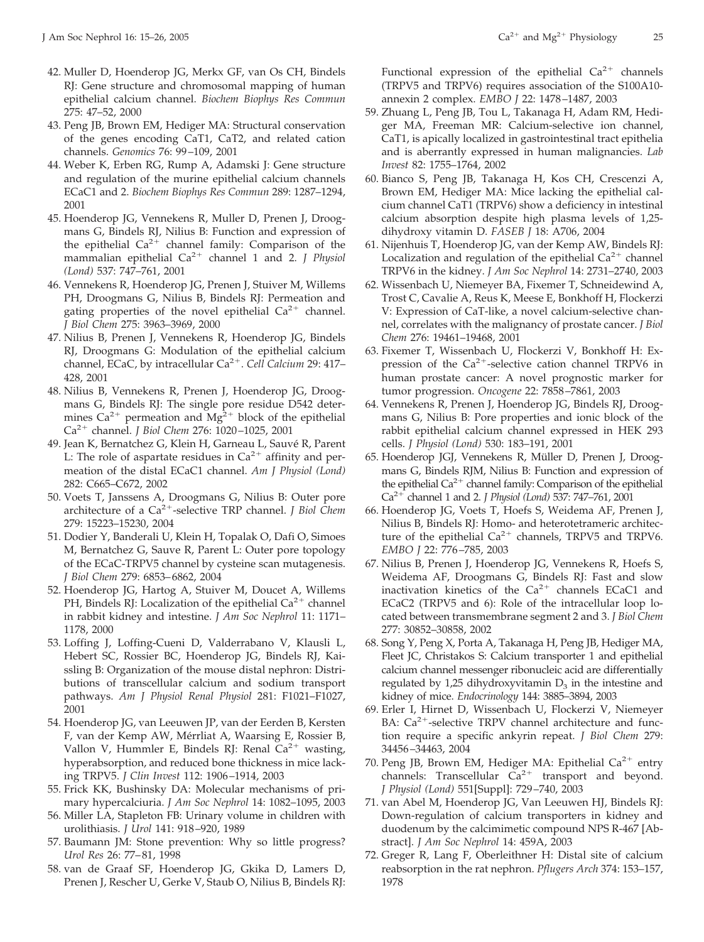- 42. Muller D, Hoenderop JG, Merkx GF, van Os CH, Bindels RJ: Gene structure and chromosomal mapping of human epithelial calcium channel. *Biochem Biophys Res Commun* 275: 47–52, 2000
- 43. Peng JB, Brown EM, Hediger MA: Structural conservation of the genes encoding CaT1, CaT2, and related cation channels. *Genomics* 76: 99 –109, 2001
- 44. Weber K, Erben RG, Rump A, Adamski J: Gene structure and regulation of the murine epithelial calcium channels ECaC1 and 2. *Biochem Biophys Res Commun* 289: 1287–1294, 2001
- 45. Hoenderop JG, Vennekens R, Muller D, Prenen J, Droogmans G, Bindels RJ, Nilius B: Function and expression of the epithelial  $Ca^{2+}$  channel family: Comparison of the mammalian epithelial Ca<sup>2+</sup> channel 1 and 2. *J Physiol (Lond)* 537: 747–761, 2001
- 46. Vennekens R, Hoenderop JG, Prenen J, Stuiver M, Willems PH, Droogmans G, Nilius B, Bindels RJ: Permeation and gating properties of the novel epithelial  $Ca^{2+}$  channel. *J Biol Chem* 275: 3963–3969, 2000
- 47. Nilius B, Prenen J, Vennekens R, Hoenderop JG, Bindels RJ, Droogmans G: Modulation of the epithelial calcium channel, ECaC, by intracellular Ca<sup>2+</sup>. Cell Calcium 29: 417-428, 2001
- 48. Nilius B, Vennekens R, Prenen J, Hoenderop JG, Droogmans G, Bindels RJ: The single pore residue D542 determines  $Ca^{2+}$  permeation and  $Mg^{2+}$  block of the epithelial Ca<sup>2+</sup> channel. *J Biol Chem 276*: 1020-1025, 2001
- 49. Jean K, Bernatchez G, Klein H, Garneau L, Sauvé R, Parent L: The role of aspartate residues in  $Ca<sup>2+</sup>$  affinity and permeation of the distal ECaC1 channel. *Am J Physiol (Lond)* 282: C665–C672, 2002
- 50. Voets T, Janssens A, Droogmans G, Nilius B: Outer pore architecture of a Ca<sup>2+</sup>-selective TRP channel. *J Biol Chem* 279: 15223–15230, 2004
- 51. Dodier Y, Banderali U, Klein H, Topalak O, Dafi O, Simoes M, Bernatchez G, Sauve R, Parent L: Outer pore topology of the ECaC-TRPV5 channel by cysteine scan mutagenesis. *J Biol Chem* 279: 6853– 6862, 2004
- 52. Hoenderop JG, Hartog A, Stuiver M, Doucet A, Willems PH, Bindels RJ: Localization of the epithelial  $Ca^{2+}$  channel in rabbit kidney and intestine. *J Am Soc Nephrol* 11: 1171– 1178, 2000
- 53. Loffing J, Loffing-Cueni D, Valderrabano V, Klausli L, Hebert SC, Rossier BC, Hoenderop JG, Bindels RJ, Kaissling B: Organization of the mouse distal nephron: Distributions of transcellular calcium and sodium transport pathways. *Am J Physiol Renal Physiol* 281: F1021–F1027, 2001
- 54. Hoenderop JG, van Leeuwen JP, van der Eerden B, Kersten F, van der Kemp AW, Mérrliat A, Waarsing E, Rossier B, Vallon V, Hummler E, Bindels RJ: Renal  $Ca^{2+}$  wasting, hyperabsorption, and reduced bone thickness in mice lacking TRPV5. *J Clin Invest* 112: 1906 –1914, 2003
- 55. Frick KK, Bushinsky DA: Molecular mechanisms of primary hypercalciuria. *J Am Soc Nephrol* 14: 1082–1095, 2003
- 56. Miller LA, Stapleton FB: Urinary volume in children with urolithiasis. *J Urol* 141: 918 –920, 1989
- 57. Baumann JM: Stone prevention: Why so little progress? *Urol Res* 26: 77– 81, 1998
- 58. van de Graaf SF, Hoenderop JG, Gkika D, Lamers D, Prenen J, Rescher U, Gerke V, Staub O, Nilius B, Bindels RJ:

Functional expression of the epithelial  $Ca^{2+}$  channels (TRPV5 and TRPV6) requires association of the S100A10 annexin 2 complex. *EMBO J* 22: 1478 –1487, 2003

- 59. Zhuang L, Peng JB, Tou L, Takanaga H, Adam RM, Hediger MA, Freeman MR: Calcium-selective ion channel, CaT1, is apically localized in gastrointestinal tract epithelia and is aberrantly expressed in human malignancies. *Lab Invest* 82: 1755–1764, 2002
- 60. Bianco S, Peng JB, Takanaga H, Kos CH, Crescenzi A, Brown EM, Hediger MA: Mice lacking the epithelial calcium channel CaT1 (TRPV6) show a deficiency in intestinal calcium absorption despite high plasma levels of 1,25 dihydroxy vitamin D. *FASEB J* 18: A706, 2004
- 61. Nijenhuis T, Hoenderop JG, van der Kemp AW, Bindels RJ: Localization and regulation of the epithelial  $Ca^{2+}$  channel TRPV6 in the kidney. *J Am Soc Nephrol* 14: 2731–2740, 2003
- 62. Wissenbach U, Niemeyer BA, Fixemer T, Schneidewind A, Trost C, Cavalie A, Reus K, Meese E, Bonkhoff H, Flockerzi V: Expression of CaT-like, a novel calcium-selective channel, correlates with the malignancy of prostate cancer. *J Biol Chem* 276: 19461–19468, 2001
- 63. Fixemer T, Wissenbach U, Flockerzi V, Bonkhoff H: Expression of the  $Ca^{2+}$ -selective cation channel TRPV6 in human prostate cancer: A novel prognostic marker for tumor progression. *Oncogene* 22: 7858 –7861, 2003
- 64. Vennekens R, Prenen J, Hoenderop JG, Bindels RJ, Droogmans G, Nilius B: Pore properties and ionic block of the rabbit epithelial calcium channel expressed in HEK 293 cells. *J Physiol (Lond)* 530: 183–191, 2001
- 65. Hoenderop JGJ, Vennekens R, Müller D, Prenen J, Droogmans G, Bindels RJM, Nilius B: Function and expression of the epithelial  $Ca^{2+}$  channel family: Comparison of the epithelial Ca<sup>2+</sup> channel 1 and 2. *J Physiol (Lond)* 537: 747–761, 2001
- 66. Hoenderop JG, Voets T, Hoefs S, Weidema AF, Prenen J, Nilius B, Bindels RJ: Homo- and heterotetrameric architecture of the epithelial  $Ca^{2+}$  channels, TRPV5 and TRPV6. *EMBO J* 22: 776 –785, 2003
- 67. Nilius B, Prenen J, Hoenderop JG, Vennekens R, Hoefs S, Weidema AF, Droogmans G, Bindels RJ: Fast and slow inactivation kinetics of the  $Ca^{2+}$  channels ECaC1 and ECaC2 (TRPV5 and 6): Role of the intracellular loop located between transmembrane segment 2 and 3. *J Biol Chem* 277: 30852–30858, 2002
- 68. Song Y, Peng X, Porta A, Takanaga H, Peng JB, Hediger MA, Fleet JC, Christakos S: Calcium transporter 1 and epithelial calcium channel messenger ribonucleic acid are differentially regulated by 1,25 dihydroxyvitamin  $D_3$  in the intestine and kidney of mice. *Endocrinology* 144: 3885–3894, 2003
- 69. Erler I, Hirnet D, Wissenbach U, Flockerzi V, Niemeyer BA:  $Ca^{2+}$ -selective TRPV channel architecture and function require a specific ankyrin repeat. *J Biol Chem* 279: 34456 –34463, 2004
- 70. Peng JB, Brown EM, Hediger MA: Epithelial  $Ca^{2+}$  entry channels: Transcellular  $Ca^{2+}$  transport and beyond. *J Physiol (Lond)* 551[Suppl]: 729 –740, 2003
- 71. van Abel M, Hoenderop JG, Van Leeuwen HJ, Bindels RJ: Down-regulation of calcium transporters in kidney and duodenum by the calcimimetic compound NPS R-467 [Abstract]. *J Am Soc Nephrol* 14: 459A, 2003
- 72. Greger R, Lang F, Oberleithner H: Distal site of calcium reabsorption in the rat nephron. *Pflugers Arch* 374: 153–157, 1978